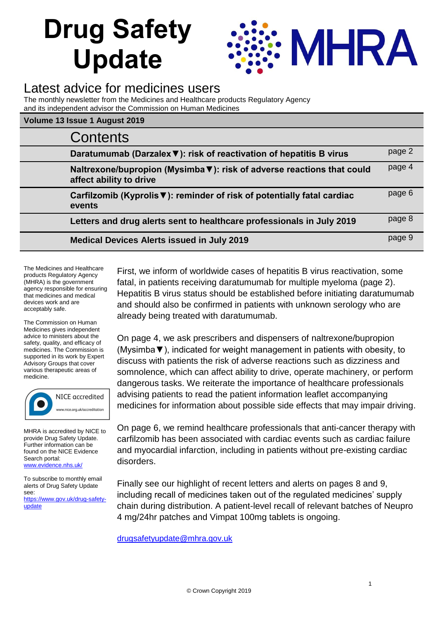# **Drug Safety Update**



# Latest advice for medicines users

The monthly newsletter from the Medicines and Healthcare products Regulatory Agency and its independent advisor the Commission on Human Medicines

#### **Volume 13 Issue 1 August 2019**

| Contents                                                                                          |        |
|---------------------------------------------------------------------------------------------------|--------|
| Daratumumab (Darzalex ▼): risk of reactivation of hepatitis B virus                               | page 2 |
| Naltrexone/bupropion (Mysimba V): risk of adverse reactions that could<br>affect ability to drive | page 4 |
| Carfilzomib (Kyprolis ▼): reminder of risk of potentially fatal cardiac<br>events                 | page 6 |
| Letters and drug alerts sent to healthcare professionals in July 2019                             | page 8 |
| <b>Medical Devices Alerts issued in July 2019</b>                                                 | page 9 |

The Medicines and Healthcare products Regulatory Agency (MHRA) is the government agency responsible for ensuring that medicines and medical devices work and are acceptably safe.

The Commission on Human Medicines gives independent advice to ministers about the safety, quality, and efficacy of medicines. The Commission is supported in its work by Expert Advisory Groups that cover various therapeutic areas of medicine.



MHRA is accredited by NICE to provide Drug Safety Update. Further information can be found on the NICE Evidence Search portal: [www.evidence.nhs.uk/](http://www.evidence.nhs.uk/)

To subscribe to monthly email alerts of Drug Safety Update see: [https://www.gov.uk/drug-safety](https://www.gov.uk/drug-safety-update)[update](https://www.gov.uk/drug-safety-update)

First, we inform of worldwide cases of hepatitis B virus reactivation, some fatal, in patients receiving daratumumab for multiple myeloma (page 2). Hepatitis B virus status should be established before initiating daratumumab and should also be confirmed in patients with unknown serology who are already being treated with daratumumab.

On page 4, we ask prescribers and dispensers of naltrexone/bupropion (Mysimba▼), indicated for weight management in patients with obesity, to discuss with patients the risk of adverse reactions such as dizziness and somnolence, which can affect ability to drive, operate machinery, or perform dangerous tasks. We reiterate the importance of healthcare professionals advising patients to read the patient information leaflet accompanying medicines for information about possible side effects that may impair driving.

On page 6, we remind healthcare professionals that anti-cancer therapy with carfilzomib has been associated with cardiac events such as cardiac failure and myocardial infarction, including in patients without pre-existing cardiac disorders.

Finally see our highlight of recent letters and alerts on pages 8 and 9, including recall of medicines taken out of the regulated medicines' supply chain during distribution. A patient-level recall of relevant batches of Neupro 4 mg/24hr patches and Vimpat 100mg tablets is ongoing.

[drugsafetyupdate@mhra.gov.uk](mailto:drugsafetyupdate@mhra.gov.uk)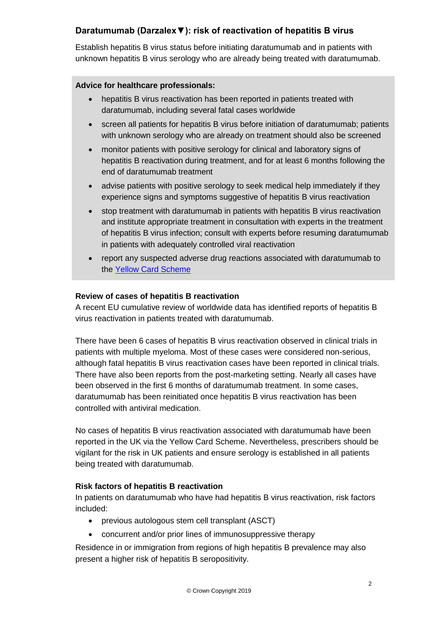# **Daratumumab (Darzalex▼): risk of reactivation of hepatitis B virus**

Establish hepatitis B virus status before initiating daratumumab and in patients with unknown hepatitis B virus serology who are already being treated with daratumumab.

#### **Advice for healthcare professionals:**

- hepatitis B virus reactivation has been reported in patients treated with daratumumab, including several fatal cases worldwide
- screen all patients for hepatitis B virus before initiation of daratumumab; patients with unknown serology who are already on treatment should also be screened
- monitor patients with positive serology for clinical and laboratory signs of hepatitis B reactivation during treatment, and for at least 6 months following the end of daratumumab treatment
- advise patients with positive serology to seek medical help immediately if they experience signs and symptoms suggestive of hepatitis B virus reactivation
- stop treatment with daratumumab in patients with hepatitis B virus reactivation and institute appropriate treatment in consultation with experts in the treatment of hepatitis B virus infection; consult with experts before resuming daratumumab in patients with adequately controlled viral reactivation
- report any suspected adverse drug reactions associated with daratumumab to the [Yellow Card Scheme](https://yellowcard.mhra.gov.uk/)

#### **Review of cases of hepatitis B reactivation**

A recent EU cumulative review of worldwide data has identified reports of hepatitis B virus reactivation in patients treated with daratumumab.

There have been 6 cases of hepatitis B virus reactivation observed in clinical trials in patients with multiple myeloma. Most of these cases were considered non-serious, although fatal hepatitis B virus reactivation cases have been reported in clinical trials. There have also been reports from the post-marketing setting. Nearly all cases have been observed in the first 6 months of daratumumab treatment. In some cases, daratumumab has been reinitiated once hepatitis B virus reactivation has been controlled with antiviral medication.

No cases of hepatitis B virus reactivation associated with daratumumab have been reported in the UK via the Yellow Card Scheme. Nevertheless, prescribers should be vigilant for the risk in UK patients and ensure serology is established in all patients being treated with daratumumab.

#### **Risk factors of hepatitis B reactivation**

In patients on daratumumab who have had hepatitis B virus reactivation, risk factors included:

- previous autologous stem cell transplant (ASCT)
- concurrent and/or prior lines of immunosuppressive therapy

Residence in or immigration from regions of high hepatitis B prevalence may also present a higher risk of hepatitis B seropositivity.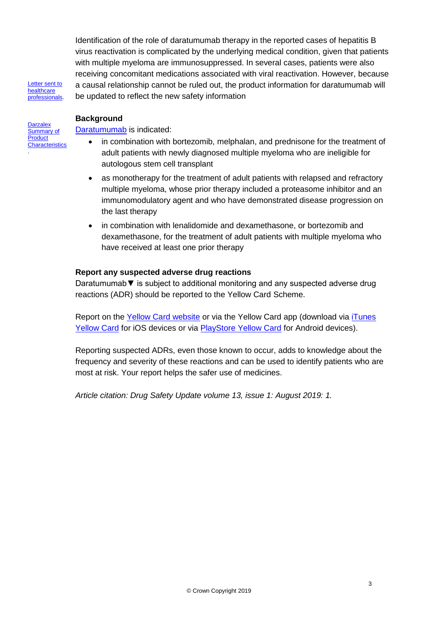Identification of the role of daratumumab therapy in the reported cases of hepatitis B virus reactivation is complicated by the underlying medical condition, given that patients with multiple myeloma are immunosuppressed. In several cases, patients were also receiving concomitant medications associated with viral reactivation. However, because a causal relationship cannot be ruled out, the product information for daratumumab will be updated to reflect the new safety information

[Letter sent to](https://assets.publishing.service.gov.uk/media/5d2dbdbbe5274a14e7135640/Darzalex_DHPC-June_2019.pdf)  healthcare [professionals.](https://assets.publishing.service.gov.uk/media/5d2dbdbbe5274a14e7135640/Darzalex_DHPC-June_2019.pdf)

#### **Background**

**Darzalex** Summary of **Product [Characteristics](https://www.medicines.org.uk/emc/product/7250/smpc)** 

.

[Daratumumab](https://www.medicines.org.uk/emc/product/7250/smpc) is indicated:

- in combination with bortezomib, melphalan, and prednisone for the treatment of adult patients with newly diagnosed multiple myeloma who are ineligible for autologous stem cell transplant
- as monotherapy for the treatment of adult patients with relapsed and refractory multiple myeloma, whose prior therapy included a proteasome inhibitor and an immunomodulatory agent and who have demonstrated disease progression on the last therapy
- in combination with lenalidomide and dexamethasone, or bortezomib and dexamethasone, for the treatment of adult patients with multiple myeloma who have received at least one prior therapy

#### **Report any suspected adverse drug reactions**

Daratumumab▼ is subject to additional monitoring and any suspected adverse drug reactions (ADR) should be reported to the Yellow Card Scheme.

Report on the [Yellow Card website](https://yellowcard.mhra.gov.uk/) or via the Yellow Card app (download via [iTunes](https://itunes.apple.com/gb/app/yellow-card-mhra/id990237487?ls=1&mt=8)  [Yellow Card](https://itunes.apple.com/gb/app/yellow-card-mhra/id990237487?ls=1&mt=8) for iOS devices or via [PlayStore Yellow Card](https://play.google.com/store/apps/details?id=uk.org.mhra.yellowcard&hl=en_GB) for Android devices).

Reporting suspected ADRs, even those known to occur, adds to knowledge about the frequency and severity of these reactions and can be used to identify patients who are most at risk. Your report helps the safer use of medicines.

*Article citation: Drug Safety Update volume 13, issue 1: August 2019: 1.*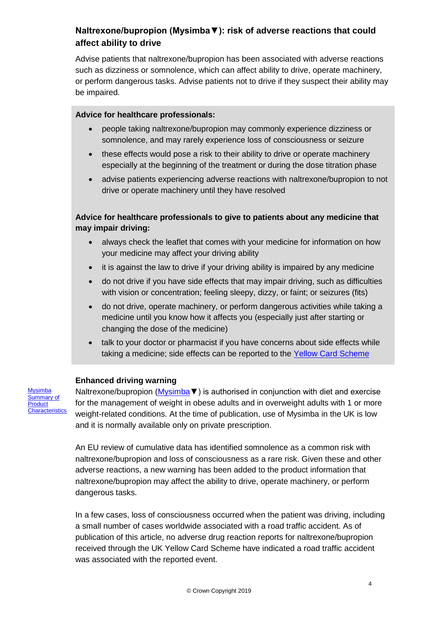# **Naltrexone/bupropion (Mysimba▼): risk of adverse reactions that could affect ability to drive**

Advise patients that naltrexone/bupropion has been associated with adverse reactions such as dizziness or somnolence, which can affect ability to drive, operate machinery, or perform dangerous tasks. Advise patients not to drive if they suspect their ability may be impaired.

#### **Advice for healthcare professionals:**

- people taking naltrexone/bupropion may commonly experience dizziness or somnolence, and may rarely experience loss of consciousness or seizure
- these effects would pose a risk to their ability to drive or operate machinery especially at the beginning of the treatment or during the dose titration phase
- advise patients experiencing adverse reactions with naltrexone/bupropion to not drive or operate machinery until they have resolved

## **Advice for healthcare professionals to give to patients about any medicine that may impair driving:**

- always check the leaflet that comes with your medicine for information on how your medicine may affect your driving ability
- it is against the law to drive if your driving ability is impaired by any medicine
- do not drive if you have side effects that may impair driving, such as difficulties with vision or concentration; feeling sleepy, dizzy, or faint; or seizures (fits)
- do not drive, operate machinery, or perform dangerous activities while taking a medicine until you know how it affects you (especially just after starting or changing the dose of the medicine)
- talk to your doctor or pharmacist if you have concerns about side effects while taking a medicine; side effects can be reported to the [Yellow Card Scheme](https://yellowcard.mhra.gov.uk/)

#### **Enhanced driving warning**

**[Mysimba](https://www.medicines.org.uk/emc/product/2684)** [Summary of](https://www.medicines.org.uk/emc/product/2684)  **Product Characteristics** 

Naltrexone/bupropion (Mysimba ▼) is authorised in conjunction with diet and exercise for the management of weight in obese adults and in overweight adults with 1 or more weight-related conditions. At the time of publication, use of Mysimba in the UK is low and it is normally available only on private prescription.

An EU review of cumulative data has identified somnolence as a common risk with naltrexone/bupropion and loss of consciousness as a rare risk. Given these and other adverse reactions, a new warning has been added to the product information that naltrexone/bupropion may affect the ability to drive, operate machinery, or perform dangerous tasks.

In a few cases, loss of consciousness occurred when the patient was driving, including a small number of cases worldwide associated with a road traffic accident. As of publication of this article, no adverse drug reaction reports for naltrexone/bupropion received through the UK Yellow Card Scheme have indicated a road traffic accident was associated with the reported event.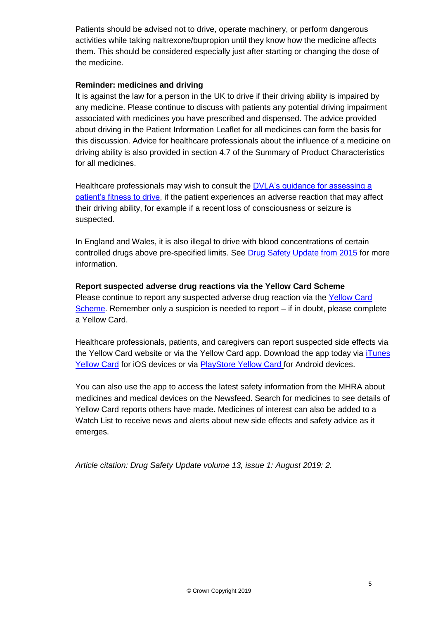Patients should be advised not to drive, operate machinery, or perform dangerous activities while taking naltrexone/bupropion until they know how the medicine affects them. This should be considered especially just after starting or changing the dose of the medicine.

#### **Reminder: medicines and driving**

It is against the law for a person in the UK to drive if their driving ability is impaired by any medicine. Please continue to discuss with patients any potential driving impairment associated with medicines you have prescribed and dispensed. The advice provided about driving in the Patient Information Leaflet for all medicines can form the basis for this discussion. Advice for healthcare professionals about the influence of a medicine on driving ability is also provided in section 4.7 of the Summary of Product Characteristics for all medicines.

Healthcare professionals may wish to consult the [DVLA's guidance for assessing a](https://assets.publishing.service.gov.uk/government/uploads/system/uploads/attachment_data/file/783444/assessing-fitness-to-drive-a-guide-for-medical-professionals.pdf)  [patient's fitness to drive,](https://assets.publishing.service.gov.uk/government/uploads/system/uploads/attachment_data/file/783444/assessing-fitness-to-drive-a-guide-for-medical-professionals.pdf) if the patient experiences an adverse reaction that may affect their driving ability, for example if a recent loss of consciousness or seizure is suspected.

In England and Wales, it is also illegal to drive with blood concentrations of certain controlled drugs above pre-specified limits. See [Drug Safety Update from 2015](https://www.gov.uk/drug-safety-update/drugs-and-driving-blood-concentration-limits-set-for-certain-drugs) for more information.

#### **Report suspected adverse drug reactions via the Yellow Card Scheme**

Please continue to report any suspected adverse drug reaction via the [Yellow Card](https://yellowcard.mhra.gov.uk/)  [Scheme.](https://yellowcard.mhra.gov.uk/) Remember only a suspicion is needed to report – if in doubt, please complete a Yellow Card.

Healthcare professionals, patients, and caregivers can report suspected side effects via the Yellow Card website or via the Yellow Card app. Download the app today via [iTunes](https://itunes.apple.com/gb/app/yellow-card-mhra/id990237487?ls=1&mt=8)  [Yellow Card](https://itunes.apple.com/gb/app/yellow-card-mhra/id990237487?ls=1&mt=8) for iOS devices or via [PlayStore Yellow Card](https://play.google.com/store/apps/details?id=uk.org.mhra.yellowcard&hl=en_GB) for Android devices.

You can also use the app to access the latest safety information from the MHRA about medicines and medical devices on the Newsfeed. Search for medicines to see details of Yellow Card reports others have made. Medicines of interest can also be added to a Watch List to receive news and alerts about new side effects and safety advice as it emerges.

*Article citation: Drug Safety Update volume 13, issue 1: August 2019: 2.*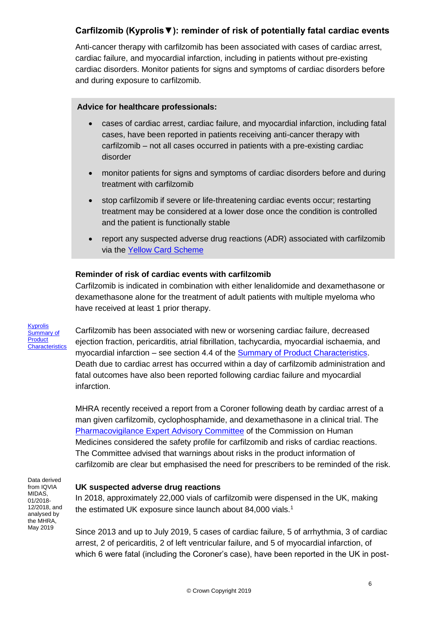# **Carfilzomib (Kyprolis▼): reminder of risk of potentially fatal cardiac events**

Anti-cancer therapy with carfilzomib has been associated with cases of cardiac arrest, cardiac failure, and myocardial infarction, including in patients without pre-existing cardiac disorders. Monitor patients for signs and symptoms of cardiac disorders before and during exposure to carfilzomib.

#### **Advice for healthcare professionals:**

- cases of cardiac arrest, cardiac failure, and myocardial infarction, including fatal cases, have been reported in patients receiving anti-cancer therapy with carfilzomib – not all cases occurred in patients with a pre-existing cardiac disorder
- monitor patients for signs and symptoms of cardiac disorders before and during treatment with carfilzomib
- stop carfilzomib if severe or life-threatening cardiac events occur; restarting treatment may be considered at a lower dose once the condition is controlled and the patient is functionally stable
- report any suspected adverse drug reactions (ADR) associated with carfilzomib via the [Yellow Card Scheme](https://yellowcard.mhra.gov.uk/)

#### **Reminder of risk of cardiac events with carfilzomib**

Carfilzomib is indicated in combination with either lenalidomide and dexamethasone or dexamethasone alone for the treatment of adult patients with multiple myeloma who have received at least 1 prior therapy.

[Kyprolis](https://www.medicines.org.uk/emc/product/5061/)  [Summary of](https://www.medicines.org.uk/emc/product/5061/)  **Product [Characteristics](https://www.medicines.org.uk/emc/product/5061/)** 

Carfilzomib has been associated with new or worsening cardiac failure, decreased ejection fraction, pericarditis, atrial fibrillation, tachycardia, myocardial ischaemia, and myocardial infarction – see section 4.4 of the [Summary of Product Characteristics.](https://www.medicines.org.uk/emc/product/5061/smpc#CLINICAL_PRECAUTIONS) Death due to cardiac arrest has occurred within a day of carfilzomib administration and fatal outcomes have also been reported following cardiac failure and myocardial infarction.

MHRA recently received a report from a Coroner following death by cardiac arrest of a man given carfilzomib, cyclophosphamide, and dexamethasone in a clinical trial. The [Pharmacovigilance Expert Advisory Committee](https://www.gov.uk/government/organisations/commission-on-human-medicines/about/membership#pharmacovigilance-eag) of the Commission on Human Medicines considered the safety profile for carfilzomib and risks of cardiac reactions. The Committee advised that warnings about risks in the product information of carfilzomib are clear but emphasised the need for prescribers to be reminded of the risk.

Data derived from IQVIA MIDAS, 01/2018- 12/2018, and analysed by the MHRA, May 2019

#### **UK suspected adverse drug reactions**

In 2018, approximately 22,000 vials of carfilzomib were dispensed in the UK, making the estimated UK exposure since launch about 84,000 vials.<sup>1</sup>

Since 2013 and up to July 2019, 5 cases of cardiac failure, 5 of arrhythmia, 3 of cardiac arrest, 2 of pericarditis, 2 of left ventricular failure, and 5 of myocardial infarction, of which 6 were fatal (including the Coroner's case), have been reported in the UK in post-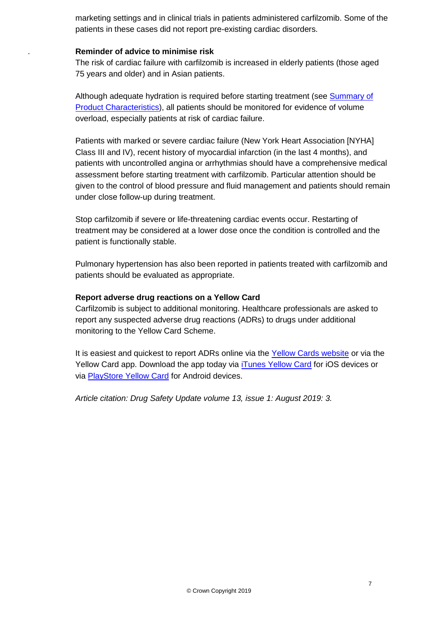marketing settings and in clinical trials in patients administered carfilzomib. Some of the patients in these cases did not report pre-existing cardiac disorders.

#### **Reminder of advice to minimise risk**

.

The risk of cardiac failure with carfilzomib is increased in elderly patients (those aged 75 years and older) and in Asian patients.

Although adequate hydration is required before starting treatment (see Summary of [Product Characteristics\)](https://www.medicines.org.uk/emc/product/5061#CLINICAL_PRECAUTIONS), all patients should be monitored for evidence of volume overload, especially patients at risk of cardiac failure.

Patients with marked or severe cardiac failure (New York Heart Association [NYHA] Class III and IV), recent history of myocardial infarction (in the last 4 months), and patients with uncontrolled angina or arrhythmias should have a comprehensive medical assessment before starting treatment with carfilzomib. Particular attention should be given to the control of blood pressure and fluid management and patients should remain under close follow-up during treatment.

Stop carfilzomib if severe or life-threatening cardiac events occur. Restarting of treatment may be considered at a lower dose once the condition is controlled and the patient is functionally stable.

Pulmonary hypertension has also been reported in patients treated with carfilzomib and patients should be evaluated as appropriate.

#### **Report adverse drug reactions on a Yellow Card**

Carfilzomib is subject to additional monitoring. Healthcare professionals are asked to report any suspected adverse drug reactions (ADRs) to drugs under additional monitoring to the Yellow Card Scheme.

It is easiest and quickest to report ADRs online via the [Yellow Cards website](https://yellowcard.mhra.gov.uk/) or via the Yellow Card app. Download the app today via *[iTunes Yellow Card](https://itunes.apple.com/gb/app/yellow-card-mhra/id990237487?ls=1&mt=8) for iOS* devices or via [PlayStore Yellow Card](https://play.google.com/store/apps/details?id=uk.org.mhra.yellowcard&hl=en_GB) for Android devices.

*Article citation: Drug Safety Update volume 13, issue 1: August 2019: 3.*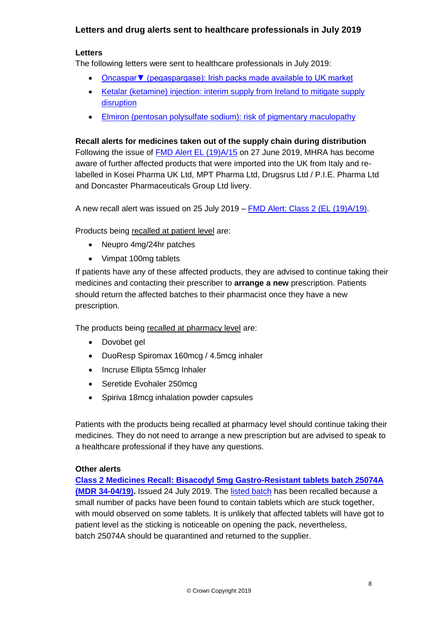## **Letters and drug alerts sent to healthcare professionals in July 2019**

#### **Letters**

The following letters were sent to healthcare professionals in July 2019:

- Oncaspar ▼ (pegaspargase): Irish packs made available to UK market
- [Ketalar \(ketamine\) injection: interim supply from Ireland to mitigate supply](https://assets.publishing.service.gov.uk/media/5d56c8efed915d08d586a2a4/DHCP-Ketalar.pdf)  [disruption](https://assets.publishing.service.gov.uk/media/5d56c8efed915d08d586a2a4/DHCP-Ketalar.pdf)
- [Elmiron \(pentosan polysulfate sodium\): risk of pigmentary maculopathy](https://assets.publishing.service.gov.uk/media/5d56c8fded915d08d02e5489/Elmiron_DHPC.pdf)

**Recall alerts for medicines taken out of the supply chain during distribution** Following the issue of [FMD Alert EL \(19\)A/15](https://www.gov.uk/drug-device-alerts/fmd-alert-class-2-mdr-123-05-19) on 27 June 2019, MHRA has become aware of further affected products that were imported into the UK from Italy and relabelled in Kosei Pharma UK Ltd, MPT Pharma Ltd, Drugsrus Ltd / P.I.E. Pharma Ltd and Doncaster Pharmaceuticals Group Ltd livery.

A new recall alert was issued on 25 July 2019 – [FMD Alert: Class 2 \(EL \(19\)A/19\).](https://www.gov.uk/drug-device-alerts/fmd-alert-class-2-el-19-a-19)

Products being recalled at patient level are:

- Neupro 4mg/24hr patches
- Vimpat 100mg tablets

If patients have any of these affected products, they are advised to continue taking their medicines and contacting their prescriber to **arrange a new** prescription. Patients should return the affected batches to their pharmacist once they have a new prescription.

The products being recalled at pharmacy level are:

- Dovobet gel
- DuoResp Spiromax 160mcg / 4.5mcg inhaler
- Incruse Ellipta 55mcg Inhaler
- Seretide Evohaler 250mcg
- Spiriva 18mcg inhalation powder capsules

Patients with the products being recalled at pharmacy level should continue taking their medicines. They do not need to arrange a new prescription but are advised to speak to a healthcare professional if they have any questions.

#### **Other alerts**

**[Class 2 Medicines Recall: Bisacodyl 5mg Gastro-Resistant tablets batch 25074A](https://www.gov.uk/drug-device-alerts/class-2-medicines-recall-bisacodyl-5mg-gastro-resistant-tablets-batch-25074a-mdr-34-04-19)  [\(MDR 34-04/19\).](https://www.gov.uk/drug-device-alerts/class-2-medicines-recall-bisacodyl-5mg-gastro-resistant-tablets-batch-25074a-mdr-34-04-19)** Issued 24 July 2019. The [listed batch](https://www.gov.uk/drug-device-alerts/class-2-medicines-recall-bisacodyl-5mg-gastro-resistant-tablets-batch-25074a-mdr-34-04-19) has been recalled because a small number of packs have been found to contain tablets which are stuck together, with mould observed on some tablets. It is unlikely that affected tablets will have got to patient level as the sticking is noticeable on opening the pack, nevertheless, batch 25074A should be quarantined and returned to the supplier.